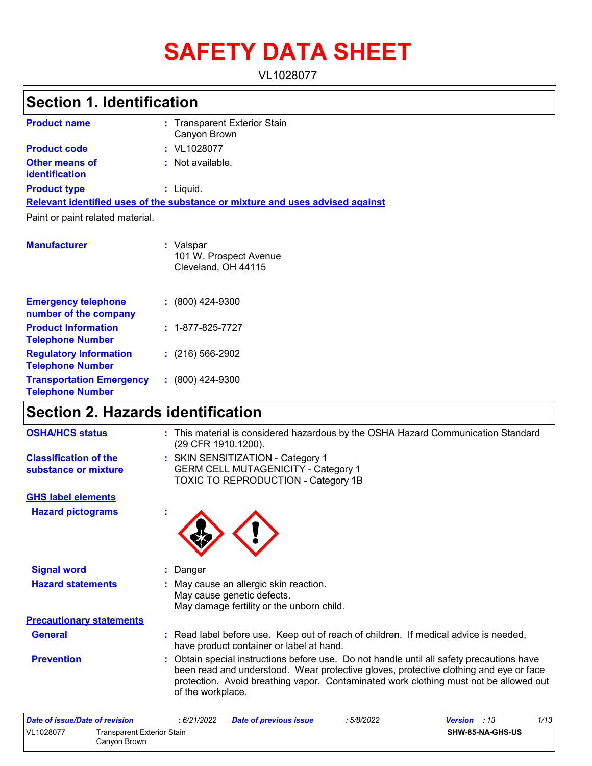# **SAFETY DATA SHEET**

VL1028077

## **Section 1. Identification**

| <b>Product name</b>              | : Transparent Exterior Stain<br>Canyon Brown                                  |
|----------------------------------|-------------------------------------------------------------------------------|
| <b>Product code</b>              | : VL1028077                                                                   |
| Other means of<br>identification | : Not available.                                                              |
| <b>Product type</b>              | $:$ Liquid.                                                                   |
|                                  | Relevant identified uses of the substance or mixture and uses advised against |
| Paint or paint related material. |                                                                               |
| <b>Manufacturer</b>              | : Valspar<br>101 W. Prospect Avenue<br>Cleveland, OH 44115                    |

| <b>Emergency telephone</b><br>number of the company        | $: (800)$ 424-9300       |
|------------------------------------------------------------|--------------------------|
| <b>Product Information</b><br><b>Telephone Number</b>      | $: 1 - 877 - 825 - 7727$ |
| <b>Regulatory Information</b><br><b>Telephone Number</b>   | $: (216) 566 - 2902$     |
| <b>Transportation Emergency</b><br><b>Telephone Number</b> | $: (800)$ 424-9300       |

## **Section 2. Hazards identification**

| <b>OSHA/HCS status</b>                               | : This material is considered hazardous by the OSHA Hazard Communication Standard<br>(29 CFR 1910.1200).                                                                                                                                                                                       |
|------------------------------------------------------|------------------------------------------------------------------------------------------------------------------------------------------------------------------------------------------------------------------------------------------------------------------------------------------------|
| <b>Classification of the</b><br>substance or mixture | : SKIN SENSITIZATION - Category 1<br><b>GERM CELL MUTAGENICITY - Category 1</b><br><b>TOXIC TO REPRODUCTION - Category 1B</b>                                                                                                                                                                  |
| <b>GHS label elements</b>                            |                                                                                                                                                                                                                                                                                                |
| <b>Hazard pictograms</b>                             |                                                                                                                                                                                                                                                                                                |
| <b>Signal word</b>                                   | : Danger                                                                                                                                                                                                                                                                                       |
| <b>Hazard statements</b>                             | : May cause an allergic skin reaction.<br>May cause genetic defects.<br>May damage fertility or the unborn child.                                                                                                                                                                              |
| <b>Precautionary statements</b>                      |                                                                                                                                                                                                                                                                                                |
| <b>General</b>                                       | : Read label before use. Keep out of reach of children. If medical advice is needed,<br>have product container or label at hand.                                                                                                                                                               |
| <b>Prevention</b>                                    | Obtain special instructions before use. Do not handle until all safety precautions have<br>been read and understood. Wear protective gloves, protective clothing and eye or face<br>protection. Avoid breathing vapor. Contaminated work clothing must not be allowed out<br>of the workplace. |
| Date of issue/Date of revision                       | 1/13<br>:6/21/2022<br>Date of previous issue<br>: 5/8/2022<br><b>Version</b> : 13                                                                                                                                                                                                              |

| Date of issue/Date of revision |                                            | : 6/21/2022 | Date of previous issue | 5/8/2022 | <b>Version</b> : 13 | 1/13 |
|--------------------------------|--------------------------------------------|-------------|------------------------|----------|---------------------|------|
| VL1028077                      | Transparent Exterior Stain<br>Canvon Brown |             |                        |          | SHW-85-NA-GHS-US    |      |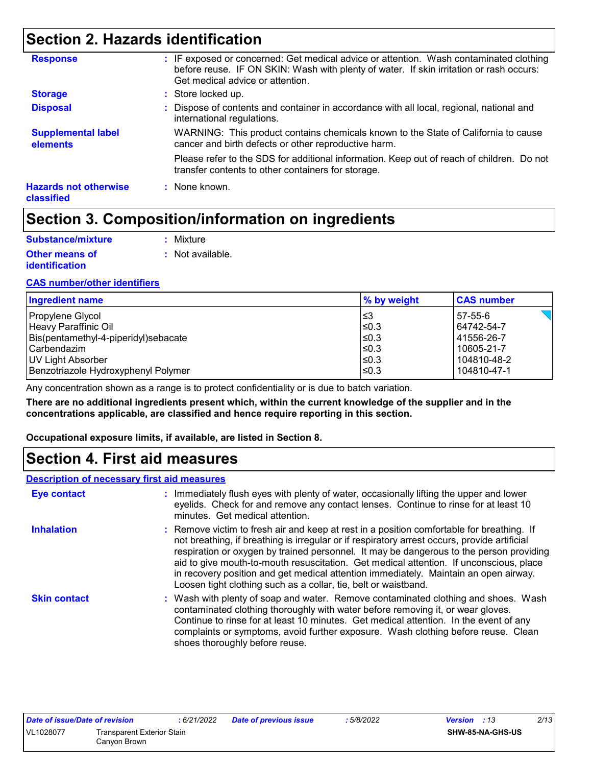## **Section 2. Hazards identification**

| <b>Disposal</b>                            | : Dispose of contents and container in accordance with all local, regional, national and<br>international regulations.                          |
|--------------------------------------------|-------------------------------------------------------------------------------------------------------------------------------------------------|
| <b>Supplemental label</b><br>elements      | WARNING: This product contains chemicals known to the State of California to cause<br>cancer and birth defects or other reproductive harm.      |
|                                            | Please refer to the SDS for additional information. Keep out of reach of children. Do not<br>transfer contents to other containers for storage. |
| <b>Hazards not otherwise</b><br>classified | : None known.                                                                                                                                   |

## **Section 3. Composition/information on ingredients**

| Substance/mixture     | : Mixture        |
|-----------------------|------------------|
| <b>Other means of</b> | : Not available. |
| <b>identification</b> |                  |

#### **CAS number/other identifiers**

| <b>Ingredient name</b>               | % by weight | <b>CAS number</b> |
|--------------------------------------|-------------|-------------------|
| Propylene Glycol                     | ∣≤3         | 57-55-6           |
| Heavy Paraffinic Oil                 | l≤0.3       | 64742-54-7        |
| Bis(pentamethyl-4-piperidyl)sebacate | l≤0.3       | 41556-26-7        |
| l Carbendazim                        | $≤0.3$      | 10605-21-7        |
| UV Light Absorber                    | ≤0.3        | 104810-48-2       |
| Benzotriazole Hydroxyphenyl Polymer  | ≤0.3        | 104810-47-1       |

Any concentration shown as a range is to protect confidentiality or is due to batch variation.

**There are no additional ingredients present which, within the current knowledge of the supplier and in the concentrations applicable, are classified and hence require reporting in this section.**

**Occupational exposure limits, if available, are listed in Section 8.**

## **Section 4. First aid measures**

#### **Description of necessary first aid measures**

| <b>Eye contact</b>  | : Immediately flush eyes with plenty of water, occasionally lifting the upper and lower<br>eyelids. Check for and remove any contact lenses. Continue to rinse for at least 10<br>minutes. Get medical attention.                                                                                                                                                                                                                                                                                                                         |
|---------------------|-------------------------------------------------------------------------------------------------------------------------------------------------------------------------------------------------------------------------------------------------------------------------------------------------------------------------------------------------------------------------------------------------------------------------------------------------------------------------------------------------------------------------------------------|
| <b>Inhalation</b>   | : Remove victim to fresh air and keep at rest in a position comfortable for breathing. If<br>not breathing, if breathing is irregular or if respiratory arrest occurs, provide artificial<br>respiration or oxygen by trained personnel. It may be dangerous to the person providing<br>aid to give mouth-to-mouth resuscitation. Get medical attention. If unconscious, place<br>in recovery position and get medical attention immediately. Maintain an open airway.<br>Loosen tight clothing such as a collar, tie, belt or waistband. |
| <b>Skin contact</b> | : Wash with plenty of soap and water. Remove contaminated clothing and shoes. Wash<br>contaminated clothing thoroughly with water before removing it, or wear gloves.<br>Continue to rinse for at least 10 minutes. Get medical attention. In the event of any<br>complaints or symptoms, avoid further exposure. Wash clothing before reuse. Clean<br>shoes thoroughly before reuse.                                                                                                                                                     |

| Date of issue/Date of revision |                                   | : 6/21/2022 | Date of previous issue | 5/8/2022 | <b>Version</b> : 13 | 2/13 |
|--------------------------------|-----------------------------------|-------------|------------------------|----------|---------------------|------|
| VL1028077                      | <b>Transparent Exterior Stain</b> |             |                        |          | SHW-85-NA-GHS-US    |      |
|                                | Canvon Brown                      |             |                        |          |                     |      |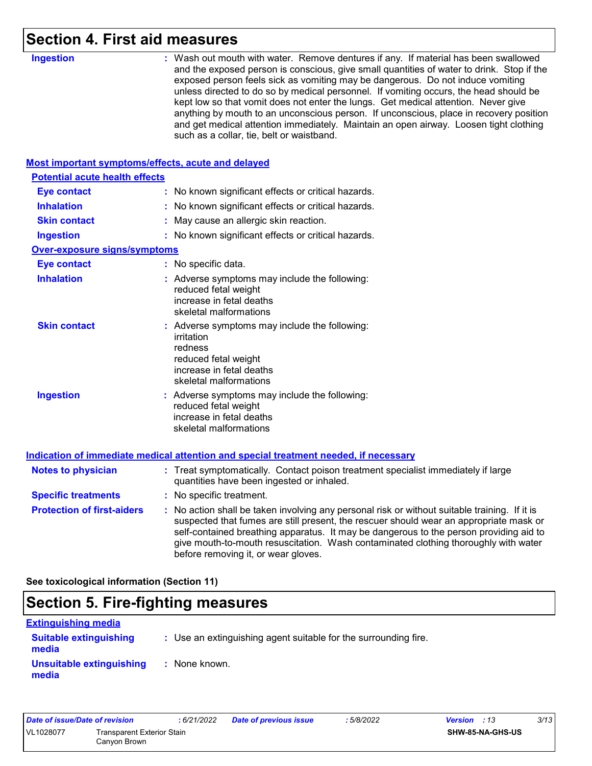## **Section 4. First aid measures**

| <b>Ingestion</b>                      | : Wash out mouth with water. Remove dentures if any. If material has been swallowed<br>and the exposed person is conscious, give small quantities of water to drink. Stop if the<br>exposed person feels sick as vomiting may be dangerous. Do not induce vomiting<br>unless directed to do so by medical personnel. If vomiting occurs, the head should be<br>kept low so that vomit does not enter the lungs. Get medical attention. Never give<br>anything by mouth to an unconscious person. If unconscious, place in recovery position<br>and get medical attention immediately. Maintain an open airway. Loosen tight clothing<br>such as a collar, tie, belt or waistband. |
|---------------------------------------|-----------------------------------------------------------------------------------------------------------------------------------------------------------------------------------------------------------------------------------------------------------------------------------------------------------------------------------------------------------------------------------------------------------------------------------------------------------------------------------------------------------------------------------------------------------------------------------------------------------------------------------------------------------------------------------|
|                                       | Most important symptoms/effects, acute and delayed                                                                                                                                                                                                                                                                                                                                                                                                                                                                                                                                                                                                                                |
| <b>Potential acute health effects</b> |                                                                                                                                                                                                                                                                                                                                                                                                                                                                                                                                                                                                                                                                                   |
| <b>Eye contact</b>                    | : No known significant effects or critical hazards.                                                                                                                                                                                                                                                                                                                                                                                                                                                                                                                                                                                                                               |
| <b>Inhalation</b>                     | : No known significant effects or critical hazards.                                                                                                                                                                                                                                                                                                                                                                                                                                                                                                                                                                                                                               |
| <b>Skin contact</b>                   | May cause an allergic skin reaction.                                                                                                                                                                                                                                                                                                                                                                                                                                                                                                                                                                                                                                              |
| <b>Ingestion</b>                      | : No known significant effects or critical hazards.                                                                                                                                                                                                                                                                                                                                                                                                                                                                                                                                                                                                                               |
| <b>Over-exposure signs/symptoms</b>   |                                                                                                                                                                                                                                                                                                                                                                                                                                                                                                                                                                                                                                                                                   |
| <b>Eye contact</b>                    | : No specific data.                                                                                                                                                                                                                                                                                                                                                                                                                                                                                                                                                                                                                                                               |
| <b>Inhalation</b>                     | : Adverse symptoms may include the following:<br>reduced fetal weight<br>increase in fetal deaths<br>skeletal malformations                                                                                                                                                                                                                                                                                                                                                                                                                                                                                                                                                       |
| <b>Skin contact</b>                   | : Adverse symptoms may include the following:<br>irritation<br>redness<br>reduced fetal weight<br>increase in fetal deaths<br>skeletal malformations                                                                                                                                                                                                                                                                                                                                                                                                                                                                                                                              |
| <b>Ingestion</b>                      | : Adverse symptoms may include the following:<br>reduced fetal weight<br>increase in fetal deaths<br>skeletal malformations                                                                                                                                                                                                                                                                                                                                                                                                                                                                                                                                                       |
|                                       | Indication of immediate medical attention and special treatment needed, if necessary                                                                                                                                                                                                                                                                                                                                                                                                                                                                                                                                                                                              |
| <b>Notes to physician</b>             | : Treat symptomatically. Contact poison treatment specialist immediately if large<br>quantities have been ingested or inhaled.                                                                                                                                                                                                                                                                                                                                                                                                                                                                                                                                                    |
| <b>Specific treatments</b>            | : No specific treatment.                                                                                                                                                                                                                                                                                                                                                                                                                                                                                                                                                                                                                                                          |
| <b>Protection of first-aiders</b>     | : No action shall be taken involving any personal risk or without suitable training. If it is<br>suspected that fumes are still present, the rescuer should wear an appropriate mask or<br>self-contained breathing apparatus. It may be dangerous to the person providing aid to<br>give mouth-to-mouth resuscitation. Wash contaminated clothing thoroughly with water<br>before removing it, or wear gloves.                                                                                                                                                                                                                                                                   |

**See toxicological information (Section 11)**

## **Section 5. Fire-fighting measures**

| <b>Extinguishing media</b>             |                                                                 |
|----------------------------------------|-----------------------------------------------------------------|
| <b>Suitable extinguishing</b><br>media | : Use an extinguishing agent suitable for the surrounding fire. |
| Unsuitable extinguishing<br>media      | : None known.                                                   |

| Date of issue/Date of revision |                                            | : 6/21/2022 | Date of previous issue | : 5/8/2022              | <b>Version</b> : 13 | 3/13 |
|--------------------------------|--------------------------------------------|-------------|------------------------|-------------------------|---------------------|------|
| VL1028077                      | Transparent Exterior Stain<br>Canvon Brown |             |                        | <b>SHW-85-NA-GHS-US</b> |                     |      |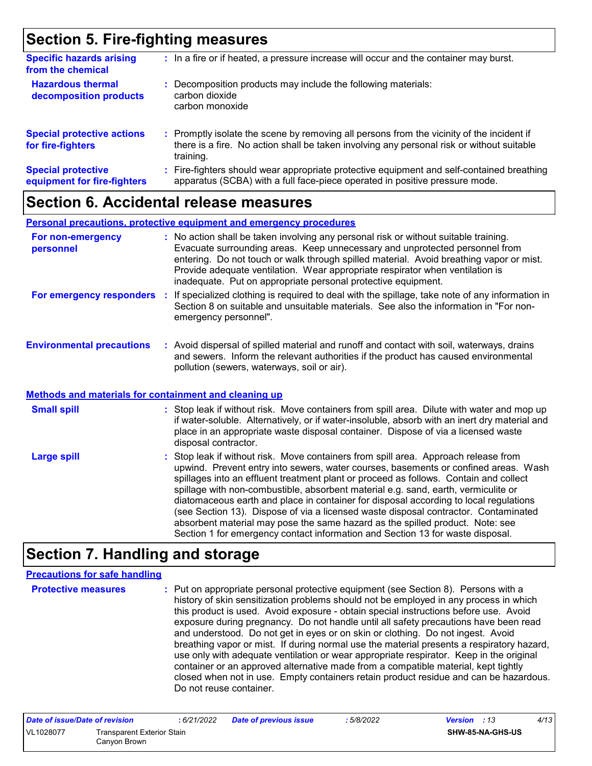## **Section 5. Fire-fighting measures**

| <b>Specific hazards arising</b><br>from the chemical     | : In a fire or if heated, a pressure increase will occur and the container may burst.                                                                                                               |
|----------------------------------------------------------|-----------------------------------------------------------------------------------------------------------------------------------------------------------------------------------------------------|
| <b>Hazardous thermal</b><br>decomposition products       | : Decomposition products may include the following materials:<br>carbon dioxide<br>carbon monoxide                                                                                                  |
| <b>Special protective actions</b><br>for fire-fighters   | : Promptly isolate the scene by removing all persons from the vicinity of the incident if<br>there is a fire. No action shall be taken involving any personal risk or without suitable<br>training. |
| <b>Special protective</b><br>equipment for fire-fighters | : Fire-fighters should wear appropriate protective equipment and self-contained breathing<br>apparatus (SCBA) with a full face-piece operated in positive pressure mode.                            |

### **Section 6. Accidental release measures**

|                                  | <b>Personal precautions, protective equipment and emergency procedures</b>                                                                                                                                                                                                                                                                                                                                       |
|----------------------------------|------------------------------------------------------------------------------------------------------------------------------------------------------------------------------------------------------------------------------------------------------------------------------------------------------------------------------------------------------------------------------------------------------------------|
| For non-emergency<br>personnel   | : No action shall be taken involving any personal risk or without suitable training.<br>Evacuate surrounding areas. Keep unnecessary and unprotected personnel from<br>entering. Do not touch or walk through spilled material. Avoid breathing vapor or mist.<br>Provide adequate ventilation. Wear appropriate respirator when ventilation is<br>inadequate. Put on appropriate personal protective equipment. |
| For emergency responders         | If specialized clothing is required to deal with the spillage, take note of any information in<br>Section 8 on suitable and unsuitable materials. See also the information in "For non-<br>emergency personnel".                                                                                                                                                                                                 |
| <b>Environmental precautions</b> | : Avoid dispersal of spilled material and runoff and contact with soil, waterways, drains<br>and sewers. Inform the relevant authorities if the product has caused environmental<br>pollution (sewers, waterways, soil or air).                                                                                                                                                                                  |

#### **Methods and materials for containment and cleaning up**

| <b>Small spill</b> | : Stop leak if without risk. Move containers from spill area. Dilute with water and mop up<br>if water-soluble. Alternatively, or if water-insoluble, absorb with an inert dry material and<br>place in an appropriate waste disposal container. Dispose of via a licensed waste<br>disposal contractor.                                                                                                                                                                                                                                                                                                                                                                                                     |
|--------------------|--------------------------------------------------------------------------------------------------------------------------------------------------------------------------------------------------------------------------------------------------------------------------------------------------------------------------------------------------------------------------------------------------------------------------------------------------------------------------------------------------------------------------------------------------------------------------------------------------------------------------------------------------------------------------------------------------------------|
| <b>Large spill</b> | : Stop leak if without risk. Move containers from spill area. Approach release from<br>upwind. Prevent entry into sewers, water courses, basements or confined areas. Wash<br>spillages into an effluent treatment plant or proceed as follows. Contain and collect<br>spillage with non-combustible, absorbent material e.g. sand, earth, vermiculite or<br>diatomaceous earth and place in container for disposal according to local regulations<br>(see Section 13). Dispose of via a licensed waste disposal contractor. Contaminated<br>absorbent material may pose the same hazard as the spilled product. Note: see<br>Section 1 for emergency contact information and Section 13 for waste disposal. |

## **Section 7. Handling and storage**

#### **Precautions for safe handling**

**Protective measures :** Put on appropriate personal protective equipment (see Section 8). Persons with a history of skin sensitization problems should not be employed in any process in which this product is used. Avoid exposure - obtain special instructions before use. Avoid exposure during pregnancy. Do not handle until all safety precautions have been read and understood. Do not get in eyes or on skin or clothing. Do not ingest. Avoid breathing vapor or mist. If during normal use the material presents a respiratory hazard, use only with adequate ventilation or wear appropriate respirator. Keep in the original container or an approved alternative made from a compatible material, kept tightly closed when not in use. Empty containers retain product residue and can be hazardous. Do not reuse container.

| Date of issue/Date of revision |                                            | : 6/21/2022 | <b>Date of previous issue</b> | : 5/8/2022 | 4/13<br><b>Version</b> : 13 |
|--------------------------------|--------------------------------------------|-------------|-------------------------------|------------|-----------------------------|
| VL1028077                      | Transparent Exterior Stain<br>Canvon Brown |             |                               |            | SHW-85-NA-GHS-US            |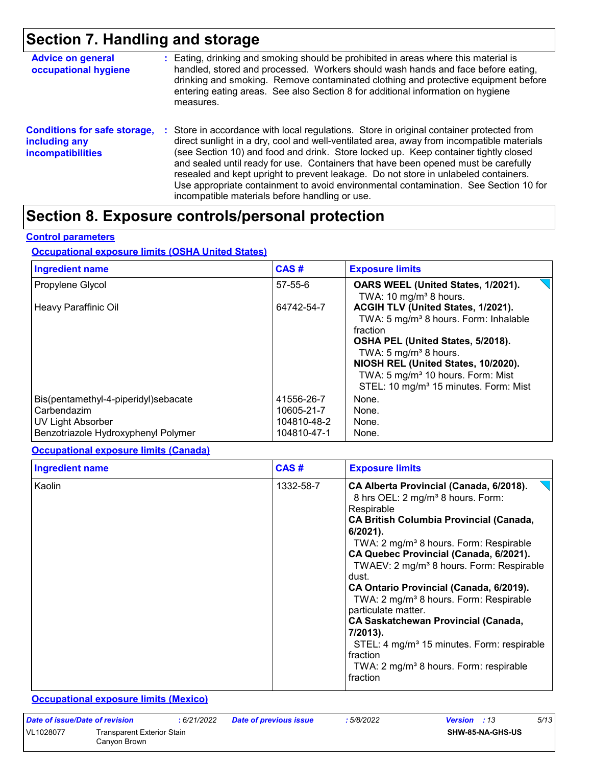## **Section 7. Handling and storage**

| <b>Advice on general</b><br>occupational hygiene                                 | : Eating, drinking and smoking should be prohibited in areas where this material is<br>handled, stored and processed. Workers should wash hands and face before eating,<br>drinking and smoking. Remove contaminated clothing and protective equipment before<br>entering eating areas. See also Section 8 for additional information on hygiene<br>measures.                                                                                                                                                                                                                                       |
|----------------------------------------------------------------------------------|-----------------------------------------------------------------------------------------------------------------------------------------------------------------------------------------------------------------------------------------------------------------------------------------------------------------------------------------------------------------------------------------------------------------------------------------------------------------------------------------------------------------------------------------------------------------------------------------------------|
| <b>Conditions for safe storage,</b><br>including any<br><b>incompatibilities</b> | : Store in accordance with local regulations. Store in original container protected from<br>direct sunlight in a dry, cool and well-ventilated area, away from incompatible materials<br>(see Section 10) and food and drink. Store locked up. Keep container tightly closed<br>and sealed until ready for use. Containers that have been opened must be carefully<br>resealed and kept upright to prevent leakage. Do not store in unlabeled containers.<br>Use appropriate containment to avoid environmental contamination. See Section 10 for<br>incompatible materials before handling or use. |

## **Section 8. Exposure controls/personal protection**

#### **Control parameters**

#### **Occupational exposure limits (OSHA United States)**

| <b>Ingredient name</b>                                                   | CAS#                                    | <b>Exposure limits</b>                                                                                                                                                                                                                                                                                           |
|--------------------------------------------------------------------------|-----------------------------------------|------------------------------------------------------------------------------------------------------------------------------------------------------------------------------------------------------------------------------------------------------------------------------------------------------------------|
| Propylene Glycol                                                         | 57-55-6                                 | OARS WEEL (United States, 1/2021).<br>TWA: 10 mg/m <sup>3</sup> 8 hours.                                                                                                                                                                                                                                         |
| Heavy Paraffinic Oil                                                     | 64742-54-7                              | ACGIH TLV (United States, 1/2021).<br>TWA: 5 mg/m <sup>3</sup> 8 hours. Form: Inhalable<br>fraction<br>OSHA PEL (United States, 5/2018).<br>TWA: 5 $mg/m3$ 8 hours.<br>NIOSH REL (United States, 10/2020).<br>TWA: 5 mg/m <sup>3</sup> 10 hours. Form: Mist<br>STEL: 10 mg/m <sup>3</sup> 15 minutes. Form: Mist |
| Bis(pentamethyl-4-piperidyl)sebacate<br>Carbendazim<br>UV Light Absorber | 41556-26-7<br>10605-21-7<br>104810-48-2 | None.<br>None.<br>None.                                                                                                                                                                                                                                                                                          |
| Benzotriazole Hydroxyphenyl Polymer                                      | 104810-47-1                             | None.                                                                                                                                                                                                                                                                                                            |

#### **Occupational exposure limits (Canada)**

| <b>Ingredient name</b> | CAS#      | <b>Exposure limits</b>                                                                                                                                                                                                                                                                                                                                                                                                                                                                                                                                                                                                                                             |
|------------------------|-----------|--------------------------------------------------------------------------------------------------------------------------------------------------------------------------------------------------------------------------------------------------------------------------------------------------------------------------------------------------------------------------------------------------------------------------------------------------------------------------------------------------------------------------------------------------------------------------------------------------------------------------------------------------------------------|
| Kaolin                 | 1332-58-7 | CA Alberta Provincial (Canada, 6/2018).<br>8 hrs OEL: 2 mg/m <sup>3</sup> 8 hours. Form:<br>Respirable<br><b>CA British Columbia Provincial (Canada,</b><br>$6/2021$ ).<br>TWA: 2 mg/m <sup>3</sup> 8 hours. Form: Respirable<br>CA Quebec Provincial (Canada, 6/2021).<br>TWAEV: 2 mg/m <sup>3</sup> 8 hours. Form: Respirable<br>dust.<br>CA Ontario Provincial (Canada, 6/2019).<br>TWA: 2 mg/m <sup>3</sup> 8 hours. Form: Respirable<br>particulate matter.<br><b>CA Saskatchewan Provincial (Canada,</b><br>7/2013).<br>STEL: 4 mg/m <sup>3</sup> 15 minutes. Form: respirable<br>fraction<br>TWA: 2 mg/m <sup>3</sup> 8 hours. Form: respirable<br>fraction |

#### **Occupational exposure limits (Mexico)**

| Date of issue/Date of revision |                                            | : 6/21/2022 | <b>Date of previous issue</b> | : 5/8/2022 | <b>Version</b> : 13     | 5/13 |
|--------------------------------|--------------------------------------------|-------------|-------------------------------|------------|-------------------------|------|
| VL1028077                      | Transparent Exterior Stain<br>Canyon Brown |             |                               |            | <b>SHW-85-NA-GHS-US</b> |      |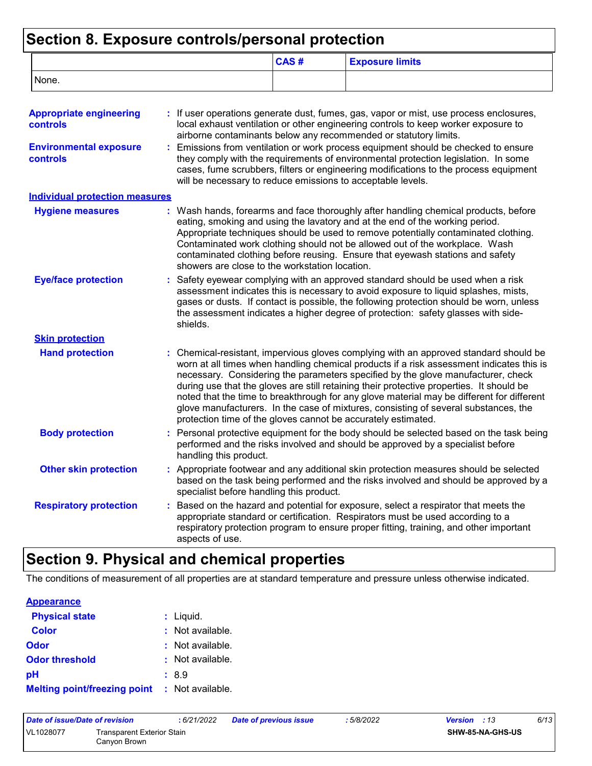### **Section 8. Exposure controls/personal protection**

|                                                   |                                                                                                                                                                                                                                                                                                                                                                  | CAS# | <b>Exposure limits</b>                                                                                                                                                                                                                                                                                                                                                                                                                                                                                                                                |  |
|---------------------------------------------------|------------------------------------------------------------------------------------------------------------------------------------------------------------------------------------------------------------------------------------------------------------------------------------------------------------------------------------------------------------------|------|-------------------------------------------------------------------------------------------------------------------------------------------------------------------------------------------------------------------------------------------------------------------------------------------------------------------------------------------------------------------------------------------------------------------------------------------------------------------------------------------------------------------------------------------------------|--|
| None.                                             |                                                                                                                                                                                                                                                                                                                                                                  |      |                                                                                                                                                                                                                                                                                                                                                                                                                                                                                                                                                       |  |
| <b>Appropriate engineering</b><br><b>controls</b> |                                                                                                                                                                                                                                                                                                                                                                  |      | : If user operations generate dust, fumes, gas, vapor or mist, use process enclosures,<br>local exhaust ventilation or other engineering controls to keep worker exposure to<br>airborne contaminants below any recommended or statutory limits.                                                                                                                                                                                                                                                                                                      |  |
| <b>Environmental exposure</b><br><b>controls</b>  | : Emissions from ventilation or work process equipment should be checked to ensure<br>they comply with the requirements of environmental protection legislation. In some<br>cases, fume scrubbers, filters or engineering modifications to the process equipment<br>will be necessary to reduce emissions to acceptable levels.                                  |      |                                                                                                                                                                                                                                                                                                                                                                                                                                                                                                                                                       |  |
| <b>Individual protection measures</b>             |                                                                                                                                                                                                                                                                                                                                                                  |      |                                                                                                                                                                                                                                                                                                                                                                                                                                                                                                                                                       |  |
| <b>Hygiene measures</b>                           | showers are close to the workstation location.                                                                                                                                                                                                                                                                                                                   |      | : Wash hands, forearms and face thoroughly after handling chemical products, before<br>eating, smoking and using the lavatory and at the end of the working period.<br>Appropriate techniques should be used to remove potentially contaminated clothing.<br>Contaminated work clothing should not be allowed out of the workplace. Wash<br>contaminated clothing before reusing. Ensure that eyewash stations and safety                                                                                                                             |  |
| <b>Eye/face protection</b>                        | Safety eyewear complying with an approved standard should be used when a risk<br>assessment indicates this is necessary to avoid exposure to liquid splashes, mists,<br>gases or dusts. If contact is possible, the following protection should be worn, unless<br>the assessment indicates a higher degree of protection: safety glasses with side-<br>shields. |      |                                                                                                                                                                                                                                                                                                                                                                                                                                                                                                                                                       |  |
| <b>Skin protection</b>                            |                                                                                                                                                                                                                                                                                                                                                                  |      |                                                                                                                                                                                                                                                                                                                                                                                                                                                                                                                                                       |  |
| <b>Hand protection</b>                            | protection time of the gloves cannot be accurately estimated.                                                                                                                                                                                                                                                                                                    |      | : Chemical-resistant, impervious gloves complying with an approved standard should be<br>worn at all times when handling chemical products if a risk assessment indicates this is<br>necessary. Considering the parameters specified by the glove manufacturer, check<br>during use that the gloves are still retaining their protective properties. It should be<br>noted that the time to breakthrough for any glove material may be different for different<br>glove manufacturers. In the case of mixtures, consisting of several substances, the |  |
| <b>Body protection</b>                            | handling this product.                                                                                                                                                                                                                                                                                                                                           |      | : Personal protective equipment for the body should be selected based on the task being<br>performed and the risks involved and should be approved by a specialist before                                                                                                                                                                                                                                                                                                                                                                             |  |
| <b>Other skin protection</b>                      | specialist before handling this product.                                                                                                                                                                                                                                                                                                                         |      | : Appropriate footwear and any additional skin protection measures should be selected<br>based on the task being performed and the risks involved and should be approved by a                                                                                                                                                                                                                                                                                                                                                                         |  |
| <b>Respiratory protection</b>                     | aspects of use.                                                                                                                                                                                                                                                                                                                                                  |      | Based on the hazard and potential for exposure, select a respirator that meets the<br>appropriate standard or certification. Respirators must be used according to a<br>respiratory protection program to ensure proper fitting, training, and other important                                                                                                                                                                                                                                                                                        |  |

## **Section 9. Physical and chemical properties**

The conditions of measurement of all properties are at standard temperature and pressure unless otherwise indicated.

| <b>Appearance</b>                                    |                             |
|------------------------------------------------------|-----------------------------|
| <b>Physical state</b>                                | $:$ Liquid.                 |
| <b>Color</b>                                         | $\therefore$ Not available. |
| Odor                                                 | $\therefore$ Not available. |
| <b>Odor threshold</b>                                | : Not available.            |
| рH                                                   | :8.9                        |
| <b>Melting point/freezing point : Not available.</b> |                             |

| Date of issue/Date of revision |                                            | : 6/21/2022 | <b>Date of previous issue</b> | : 5/8/2022 | <b>Version</b> : 13     | 6/13 |
|--------------------------------|--------------------------------------------|-------------|-------------------------------|------------|-------------------------|------|
| VL1028077                      | Transparent Exterior Stain<br>Canvon Brown |             |                               |            | <b>SHW-85-NA-GHS-US</b> |      |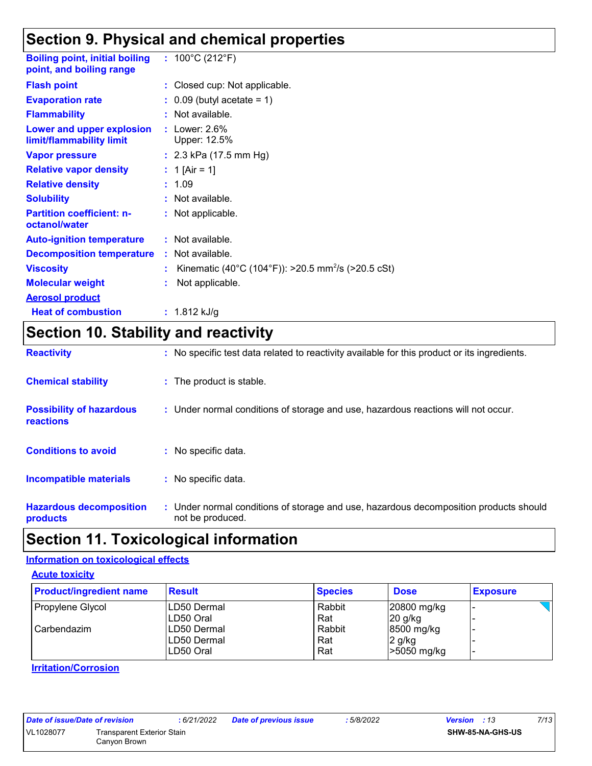## **Section 9. Physical and chemical properties**

| <b>Boiling point, initial boiling</b><br>point, and boiling range | : $100^{\circ}$ C (212 $^{\circ}$ F)                           |
|-------------------------------------------------------------------|----------------------------------------------------------------|
| <b>Flash point</b>                                                | : Closed cup: Not applicable.                                  |
| <b>Evaporation rate</b>                                           | $\therefore$ 0.09 (butyl acetate = 1)                          |
| <b>Flammability</b>                                               | $:$ Not available.                                             |
| Lower and upper explosion<br>limit/flammability limit             | : Lower: $2.6\%$<br>Upper: 12.5%                               |
| <b>Vapor pressure</b>                                             | : $2.3$ kPa (17.5 mm Hg)                                       |
| <b>Relative vapor density</b>                                     | : 1 [Air = 1]                                                  |
| <b>Relative density</b>                                           | : 1.09                                                         |
| <b>Solubility</b>                                                 | : Not available.                                               |
| <b>Partition coefficient: n-</b><br>octanol/water                 | : Not applicable.                                              |
| <b>Auto-ignition temperature</b>                                  | : Not available.                                               |
| <b>Decomposition temperature</b>                                  | : Not available.                                               |
| <b>Viscosity</b>                                                  | Kinematic (40°C (104°F)): >20.5 mm <sup>2</sup> /s (>20.5 cSt) |
| <b>Molecular weight</b>                                           | Not applicable.                                                |
| <b>Aerosol product</b>                                            |                                                                |
| <b>Heat of combustion</b>                                         | : $1.812$ kJ/g                                                 |

## **Section 10. Stability and reactivity**

| <b>Reactivity</b>                            | : No specific test data related to reactivity available for this product or its ingredients.              |
|----------------------------------------------|-----------------------------------------------------------------------------------------------------------|
| <b>Chemical stability</b>                    | : The product is stable.                                                                                  |
| <b>Possibility of hazardous</b><br>reactions | : Under normal conditions of storage and use, hazardous reactions will not occur.                         |
| <b>Conditions to avoid</b>                   | : No specific data.                                                                                       |
| Incompatible materials                       | : No specific data.                                                                                       |
| <b>Hazardous decomposition</b><br>products   | : Under normal conditions of storage and use, hazardous decomposition products should<br>not be produced. |

## **Section 11. Toxicological information**

#### **Information on toxicological effects**

**Acute toxicity**

| <b>Product/ingredient name</b> | <b>Result</b> | <b>Species</b> | <b>Dose</b> | <b>Exposure</b> |
|--------------------------------|---------------|----------------|-------------|-----------------|
| Propylene Glycol               | ILD50 Dermal  | Rabbit         | 20800 mg/kg |                 |
|                                | LD50 Oral     | Rat            | $20$ g/kg   |                 |
| l Carbendazim                  | ILD50 Dermal  | Rabbit         | 8500 mg/kg  |                 |
|                                | LD50 Dermal   | Rat            | 2 g/kg      |                 |
|                                | LD50 Oral     | Rat            | -5050 mg/kg |                 |

#### **Irritation/Corrosion**

| Date of issue/Date of revision | :6/21/2022                                        | D |  |
|--------------------------------|---------------------------------------------------|---|--|
| VL1028077                      | <b>Transparent Exterior Stain</b><br>Canyon Brown |   |  |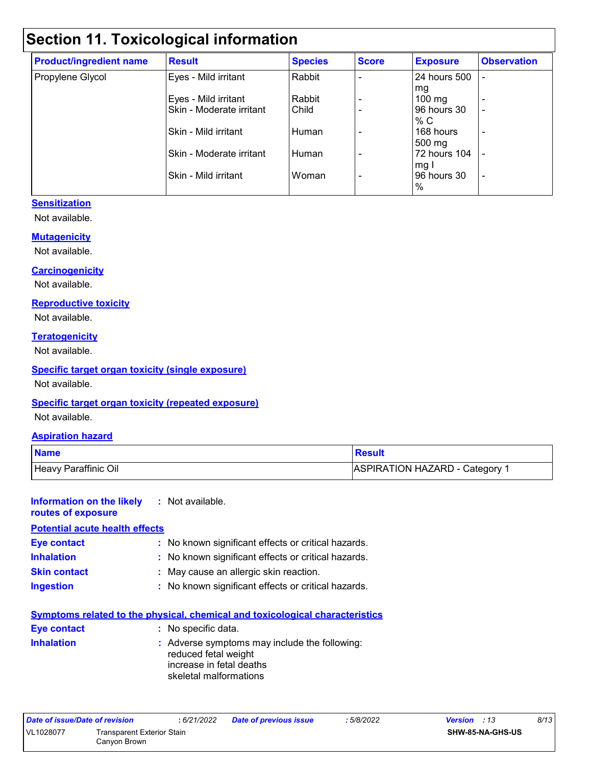## **Section 11. Toxicological information**

| <b>Product/ingredient name</b> | <b>Result</b>            | <b>Species</b> | <b>Score</b> | <b>Exposure</b>  | <b>Observation</b> |
|--------------------------------|--------------------------|----------------|--------------|------------------|--------------------|
| Propylene Glycol               | Eyes - Mild irritant     | Rabbit         |              | 24 hours 500     |                    |
|                                |                          |                |              | mg               |                    |
|                                | Eyes - Mild irritant     | Rabbit         |              | $100 \text{ mg}$ | $\overline{a}$     |
|                                | Skin - Moderate irritant | Child          |              | 96 hours 30      | ٠                  |
|                                |                          |                |              | % C              |                    |
|                                | Skin - Mild irritant     | Human          |              | 168 hours        | ٠                  |
|                                |                          |                |              | 500 mg           |                    |
|                                | Skin - Moderate irritant | Human          |              | 72 hours 104     |                    |
|                                |                          |                |              | mg I             |                    |
|                                | Skin - Mild irritant     | Woman          |              | 96 hours 30      | ٠                  |
|                                |                          |                |              | %                |                    |

#### **Sensitization**

Not available.

#### **Mutagenicity**

Not available.

#### **Carcinogenicity**

Not available.

#### **Reproductive toxicity**

Not available.

#### **Teratogenicity**

Not available.

#### **Specific target organ toxicity (single exposure)**

Not available.

#### **Specific target organ toxicity (repeated exposure)**

Not available.

#### **Aspiration hazard**

| <b>Name</b>          | <b>Result</b>                |
|----------------------|------------------------------|
| Heavy Paraffinic Oil | ASPIRATION HAZARD - Category |

#### **Information on the likely routes of exposure :** Not available. **Potential acute health effects**

| <u>. olontiai abato noaith onoolo</u> |                                                     |
|---------------------------------------|-----------------------------------------------------|
| Eye contact                           | : No known significant effects or critical hazards. |
| <b>Inhalation</b>                     | : No known significant effects or critical hazards. |
| <b>Skin contact</b>                   | : May cause an allergic skin reaction.              |
| <b>Ingestion</b>                      | : No known significant effects or critical hazards. |

| <b>Symptoms related to the physical, chemical and toxicological characteristics</b> |  |                                                                                                                             |  |  |
|-------------------------------------------------------------------------------------|--|-----------------------------------------------------------------------------------------------------------------------------|--|--|
| Eye contact                                                                         |  | : No specific data.                                                                                                         |  |  |
| <b>Inhalation</b>                                                                   |  | : Adverse symptoms may include the following:<br>reduced fetal weight<br>increase in fetal deaths<br>skeletal malformations |  |  |

| Date of issue/Date of revision |                            | : 6/21/2022 | <b>Date of previous issue</b> | : 5/8/2022 | <b>Version</b> : 13     | 8/13 |
|--------------------------------|----------------------------|-------------|-------------------------------|------------|-------------------------|------|
| VL1028077                      | Transparent Exterior Stain |             |                               |            | <b>SHW-85-NA-GHS-US</b> |      |
|                                | Canvon Brown               |             |                               |            |                         |      |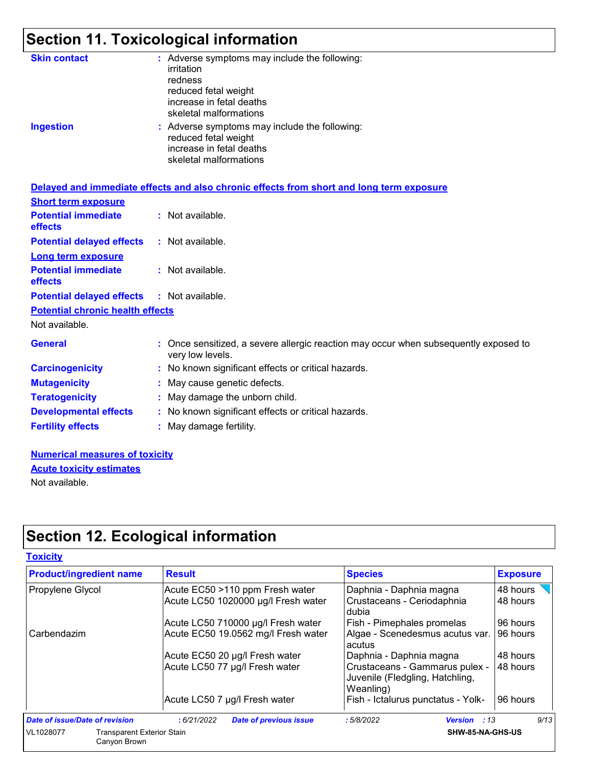## **Section 11. Toxicological information**

| <b>Skin contact</b><br><b>Ingestion</b>      | : Adverse symptoms may include the following:<br>irritation<br>redness<br>reduced fetal weight<br>increase in fetal deaths<br>skeletal malformations<br>: Adverse symptoms may include the following:<br>reduced fetal weight<br>increase in fetal deaths<br>skeletal malformations |
|----------------------------------------------|-------------------------------------------------------------------------------------------------------------------------------------------------------------------------------------------------------------------------------------------------------------------------------------|
|                                              | Delayed and immediate effects and also chronic effects from short and long term exposure                                                                                                                                                                                            |
| <b>Short term exposure</b>                   |                                                                                                                                                                                                                                                                                     |
| <b>Potential immediate</b><br><b>effects</b> | : Not available.                                                                                                                                                                                                                                                                    |
| <b>Potential delayed effects</b>             | : Not available.                                                                                                                                                                                                                                                                    |
| <b>Long term exposure</b>                    |                                                                                                                                                                                                                                                                                     |
| <b>Potential immediate</b><br>effects        | : Not available.                                                                                                                                                                                                                                                                    |
| <b>Potential delayed effects</b>             | : Not available.                                                                                                                                                                                                                                                                    |
| <b>Potential chronic health effects</b>      |                                                                                                                                                                                                                                                                                     |
| Not available.                               |                                                                                                                                                                                                                                                                                     |
| <b>General</b>                               | : Once sensitized, a severe allergic reaction may occur when subsequently exposed to<br>very low levels.                                                                                                                                                                            |
| <b>Carcinogenicity</b>                       | : No known significant effects or critical hazards.                                                                                                                                                                                                                                 |
| <b>Mutagenicity</b>                          | May cause genetic defects.                                                                                                                                                                                                                                                          |
| <b>Teratogenicity</b>                        | : May damage the unborn child.                                                                                                                                                                                                                                                      |
| <b>Developmental effects</b>                 | : No known significant effects or critical hazards.                                                                                                                                                                                                                                 |
| <b>Fertility effects</b>                     | : May damage fertility.                                                                                                                                                                                                                                                             |
|                                              |                                                                                                                                                                                                                                                                                     |

#### **Numerical measures of toxicity** Not available. **Acute toxicity estimates**

**Section 12. Ecological information**

| <b>Toxicity</b>                                                |                                                                           |                                                                                                           |                      |
|----------------------------------------------------------------|---------------------------------------------------------------------------|-----------------------------------------------------------------------------------------------------------|----------------------|
| <b>Product/ingredient name</b>                                 | <b>Result</b>                                                             | <b>Species</b>                                                                                            | <b>Exposure</b>      |
| Propylene Glycol                                               | Acute EC50 >110 ppm Fresh water<br>Acute LC50 1020000 µg/l Fresh water    | Daphnia - Daphnia magna<br>Crustaceans - Ceriodaphnia<br>dubia                                            | 48 hours<br>48 hours |
| Carbendazim                                                    | Acute LC50 710000 µg/l Fresh water<br>Acute EC50 19.0562 mg/l Fresh water | Fish - Pimephales promelas<br>Algae - Scenedesmus acutus var.<br>acutus                                   | 96 hours<br>96 hours |
|                                                                | Acute EC50 20 µg/l Fresh water<br>Acute LC50 77 µg/l Fresh water          | Daphnia - Daphnia magna<br>Crustaceans - Gammarus pulex -<br>Juvenile (Fledgling, Hatchling,<br>Weanling) | 48 hours<br>48 hours |
|                                                                | Acute LC50 7 µg/l Fresh water                                             | Fish - Ictalurus punctatus - Yolk-                                                                        | 96 hours             |
| Date of issue/Date of revision                                 | :6/21/2022<br><b>Date of previous issue</b>                               | :5/8/2022<br><b>Version</b> : 13                                                                          | 9/13                 |
| VL1028077<br><b>Transparent Exterior Stain</b><br>Canyon Brown |                                                                           | SHW-85-NA-GHS-US                                                                                          |                      |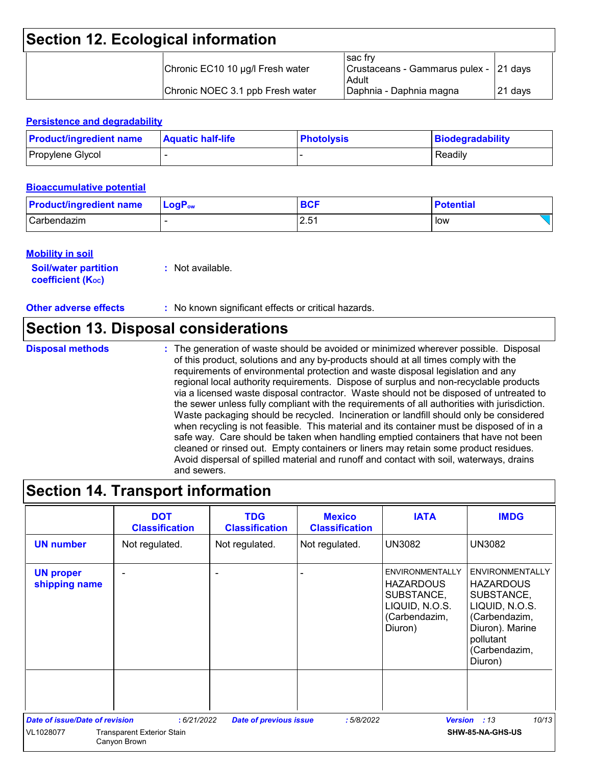## **Section 12. Ecological information**

| Chronic EC10 10 µg/l Fresh water | l sac frv<br>Crustaceans - Gammarus pulex - 21 days<br>Adult |          |
|----------------------------------|--------------------------------------------------------------|----------|
| Chronic NOEC 3.1 ppb Fresh water | Daphnia - Daphnia magna                                      | I21 davs |

#### **Persistence and degradability**

| <b>Product/ingredient name</b> | <b>Aquatic half-life</b> | <b>Photolysis</b> | Biodegradability |
|--------------------------------|--------------------------|-------------------|------------------|
| Propylene Glycol               |                          |                   | Readily          |

#### **Bioaccumulative potential**

| <b>Product/ingredient name</b> | $\blacksquare$ Log $\mathsf{P}_\mathsf{ow}$ | <b>BCF</b> | <b>Potential</b> |
|--------------------------------|---------------------------------------------|------------|------------------|
| Carbendazim                    |                                             | 2.51       | low              |

#### **Mobility in soil**

| <b>Soil/water partition</b> | : Not available. |
|-----------------------------|------------------|
| <b>coefficient (Koc)</b>    |                  |

**Other adverse effects** : No known significant effects or critical hazards.

### **Section 13. Disposal considerations**

**Disposal methods :**

The generation of waste should be avoided or minimized wherever possible. Disposal of this product, solutions and any by-products should at all times comply with the requirements of environmental protection and waste disposal legislation and any regional local authority requirements. Dispose of surplus and non-recyclable products via a licensed waste disposal contractor. Waste should not be disposed of untreated to the sewer unless fully compliant with the requirements of all authorities with jurisdiction. Waste packaging should be recycled. Incineration or landfill should only be considered when recycling is not feasible. This material and its container must be disposed of in a safe way. Care should be taken when handling emptied containers that have not been cleaned or rinsed out. Empty containers or liners may retain some product residues. Avoid dispersal of spilled material and runoff and contact with soil, waterways, drains and sewers.

## **Section 14. Transport information**

|                                       | <b>DOT</b><br><b>Classification</b>               | <b>TDG</b><br><b>Classification</b> | <b>Mexico</b><br><b>Classification</b> | <b>IATA</b>                                                                                            | <b>IMDG</b>                                                                                                                                             |
|---------------------------------------|---------------------------------------------------|-------------------------------------|----------------------------------------|--------------------------------------------------------------------------------------------------------|---------------------------------------------------------------------------------------------------------------------------------------------------------|
| <b>UN number</b>                      | Not regulated.                                    | Not regulated.                      | Not regulated.                         | <b>UN3082</b>                                                                                          | <b>UN3082</b>                                                                                                                                           |
| <b>UN proper</b><br>shipping name     |                                                   |                                     |                                        | <b>ENVIRONMENTALLY</b><br><b>HAZARDOUS</b><br>SUBSTANCE,<br>LIQUID, N.O.S.<br>(Carbendazim,<br>Diuron) | <b>ENVIRONMENTALLY</b><br><b>HAZARDOUS</b><br>SUBSTANCE,<br>LIQUID, N.O.S.<br>(Carbendazim,<br>Diuron). Marine<br>pollutant<br>(Carbendazim,<br>Diuron) |
| <b>Date of issue/Date of revision</b> | :6/21/2022                                        | <b>Date of previous issue</b>       | :5/8/2022                              | <b>Version</b>                                                                                         | 10/13<br>:13                                                                                                                                            |
| VL1028077                             | <b>Transparent Exterior Stain</b><br>Canyon Brown |                                     |                                        |                                                                                                        | SHW-85-NA-GHS-US                                                                                                                                        |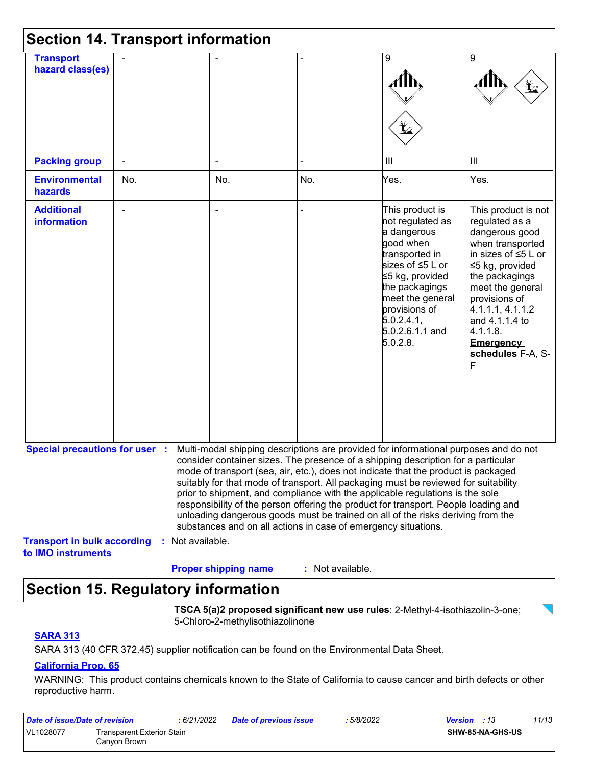| <b>Section 14. Transport information</b>                 |     |                  |                                                                |                  |                                                                                                                                                                                                                                                                                                                                                                                                                                                                                                                                                                                                                   |                                                                                                                                                                                                                                                                                    |
|----------------------------------------------------------|-----|------------------|----------------------------------------------------------------|------------------|-------------------------------------------------------------------------------------------------------------------------------------------------------------------------------------------------------------------------------------------------------------------------------------------------------------------------------------------------------------------------------------------------------------------------------------------------------------------------------------------------------------------------------------------------------------------------------------------------------------------|------------------------------------------------------------------------------------------------------------------------------------------------------------------------------------------------------------------------------------------------------------------------------------|
| <b>Transport</b><br>hazard class(es)                     |     |                  |                                                                |                  | 9<br>Ł                                                                                                                                                                                                                                                                                                                                                                                                                                                                                                                                                                                                            | 9                                                                                                                                                                                                                                                                                  |
| <b>Packing group</b>                                     |     |                  |                                                                |                  | $\mathbf{III}$                                                                                                                                                                                                                                                                                                                                                                                                                                                                                                                                                                                                    | III                                                                                                                                                                                                                                                                                |
| <b>Environmental</b><br>hazards                          | No. |                  | No.                                                            | No.              | Yes.                                                                                                                                                                                                                                                                                                                                                                                                                                                                                                                                                                                                              | Yes.                                                                                                                                                                                                                                                                               |
| <b>Additional</b><br><b>information</b>                  |     |                  |                                                                |                  | This product is<br>not regulated as<br>a dangerous<br>good when<br>transported in<br>sizes of ≤5 L or<br>≤5 kg, provided<br>the packagings<br>meet the general<br>provisions of<br>5.0.2.4.1<br>5.0.2.6.1.1 and<br>5.0.2.8.                                                                                                                                                                                                                                                                                                                                                                                       | This product is not<br>regulated as a<br>dangerous good<br>when transported<br>in sizes of $\leq 5$ L or<br>≤5 kg, provided<br>the packagings<br>meet the general<br>provisions of<br>4.1.1.1, 4.1.1.2<br>and 4.1.1.4 to<br>4.1.1.8.<br><b>Emergency</b><br>schedules F-A, S-<br>F |
| <b>Special precautions for user :</b>                    |     |                  | substances and on all actions in case of emergency situations. |                  | Multi-modal shipping descriptions are provided for informational purposes and do not<br>consider container sizes. The presence of a shipping description for a particular<br>mode of transport (sea, air, etc.), does not indicate that the product is packaged<br>suitably for that mode of transport. All packaging must be reviewed for suitability<br>prior to shipment, and compliance with the applicable regulations is the sole<br>responsibility of the person offering the product for transport. People loading and<br>unloading dangerous goods must be trained on all of the risks deriving from the |                                                                                                                                                                                                                                                                                    |
| <b>Transport in bulk according</b><br>to IMO instruments |     | : Not available. | <b>Proper shipping name</b>                                    | : Not available. |                                                                                                                                                                                                                                                                                                                                                                                                                                                                                                                                                                                                                   |                                                                                                                                                                                                                                                                                    |

## **Section 15. Regulatory information**

**TSCA 5(a)2 proposed significant new use rules**: 2-Methyl-4-isothiazolin-3-one; 5-Chloro-2-methylisothiazolinone

#### **SARA 313**

SARA 313 (40 CFR 372.45) supplier notification can be found on the Environmental Data Sheet.

#### **California Prop. 65**

WARNING: This product contains chemicals known to the State of California to cause cancer and birth defects or other reproductive harm.

| Date of issue/Date of revision |                                            | 6/21/2022 | <b>Date of previous issue</b> | : 5/8/2022 | 11/13<br><b>Version</b> : 13 |
|--------------------------------|--------------------------------------------|-----------|-------------------------------|------------|------------------------------|
| VL1028077                      | Transparent Exterior Stain<br>Canvon Brown |           |                               |            | SHW-85-NA-GHS-US             |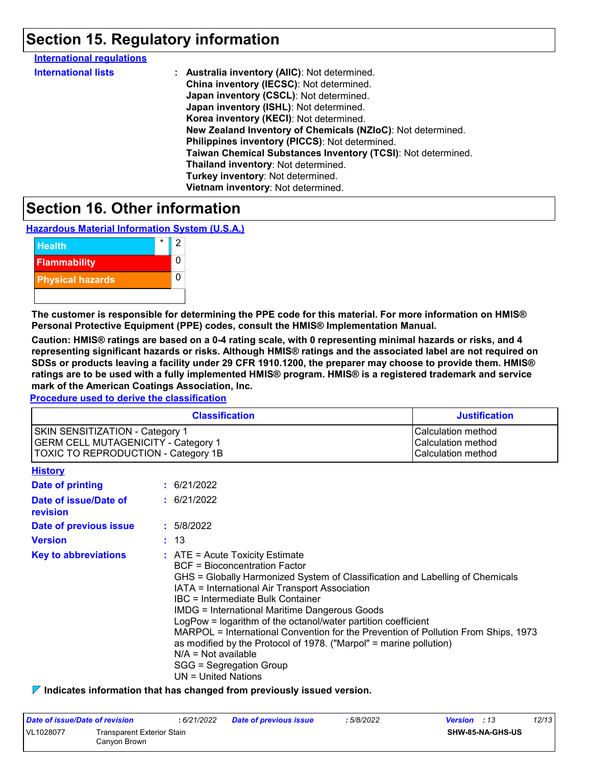## **Section 15. Regulatory information**

| <b>International regulations</b> |                                                              |
|----------------------------------|--------------------------------------------------------------|
| <b>International lists</b>       | : Australia inventory (AIIC): Not determined.                |
|                                  | China inventory (IECSC): Not determined.                     |
|                                  | Japan inventory (CSCL): Not determined.                      |
|                                  | Japan inventory (ISHL): Not determined.                      |
|                                  | Korea inventory (KECI): Not determined.                      |
|                                  | New Zealand Inventory of Chemicals (NZIoC): Not determined.  |
|                                  | Philippines inventory (PICCS): Not determined.               |
|                                  | Taiwan Chemical Substances Inventory (TCSI): Not determined. |
|                                  | Thailand inventory: Not determined.                          |
|                                  | Turkey inventory: Not determined.                            |
|                                  | Vietnam inventory: Not determined.                           |
|                                  |                                                              |

## **Section 16. Other information**

**Hazardous Material Information System (U.S.A.)**



**The customer is responsible for determining the PPE code for this material. For more information on HMIS® Personal Protective Equipment (PPE) codes, consult the HMIS® Implementation Manual.**

**Caution: HMIS® ratings are based on a 0-4 rating scale, with 0 representing minimal hazards or risks, and 4 representing significant hazards or risks. Although HMIS® ratings and the associated label are not required on SDSs or products leaving a facility under 29 CFR 1910.1200, the preparer may choose to provide them. HMIS® ratings are to be used with a fully implemented HMIS® program. HMIS® is a registered trademark and service mark of the American Coatings Association, Inc.**

**Procedure used to derive the classification**

|                                                                                                                                    | <b>Classification</b>                                                                                                                                                                                                                                                                                                                                                                                                                                                                                                                                                                                               | <b>Justification</b>                                           |
|------------------------------------------------------------------------------------------------------------------------------------|---------------------------------------------------------------------------------------------------------------------------------------------------------------------------------------------------------------------------------------------------------------------------------------------------------------------------------------------------------------------------------------------------------------------------------------------------------------------------------------------------------------------------------------------------------------------------------------------------------------------|----------------------------------------------------------------|
| <b>SKIN SENSITIZATION - Category 1</b><br><b>GERM CELL MUTAGENICITY - Category 1</b><br><b>TOXIC TO REPRODUCTION - Category 1B</b> |                                                                                                                                                                                                                                                                                                                                                                                                                                                                                                                                                                                                                     | Calculation method<br>Calculation method<br>Calculation method |
| <b>History</b>                                                                                                                     |                                                                                                                                                                                                                                                                                                                                                                                                                                                                                                                                                                                                                     |                                                                |
| Date of printing                                                                                                                   | $\div$ 6/21/2022                                                                                                                                                                                                                                                                                                                                                                                                                                                                                                                                                                                                    |                                                                |
| Date of issue/Date of<br>revision                                                                                                  | : 6/21/2022                                                                                                                                                                                                                                                                                                                                                                                                                                                                                                                                                                                                         |                                                                |
| Date of previous issue                                                                                                             | : 5/8/2022                                                                                                                                                                                                                                                                                                                                                                                                                                                                                                                                                                                                          |                                                                |
| <b>Version</b>                                                                                                                     | : 13                                                                                                                                                                                                                                                                                                                                                                                                                                                                                                                                                                                                                |                                                                |
| <b>Key to abbreviations</b>                                                                                                        | $:$ ATE = Acute Toxicity Estimate<br><b>BCF</b> = Bioconcentration Factor<br>GHS = Globally Harmonized System of Classification and Labelling of Chemicals<br>IATA = International Air Transport Association<br>IBC = Intermediate Bulk Container<br><b>IMDG = International Maritime Dangerous Goods</b><br>LogPow = logarithm of the octanol/water partition coefficient<br>MARPOL = International Convention for the Prevention of Pollution From Ships, 1973<br>as modified by the Protocol of 1978. ("Marpol" = marine pollution)<br>$N/A = Not available$<br>SGG = Segregation Group<br>$UN = United Nations$ |                                                                |

**Indicates information that has changed from previously issued version.**

| Date of issue/Date of revision |                                                   | 6/21/2022 | <b>Date of previous issue</b> | 5/8/2022 | <b>Version</b> : 13 |                         | 12/13 |
|--------------------------------|---------------------------------------------------|-----------|-------------------------------|----------|---------------------|-------------------------|-------|
| VL1028077                      | <b>Transparent Exterior Stain</b><br>Canvon Brown |           |                               |          |                     | <b>SHW-85-NA-GHS-US</b> |       |